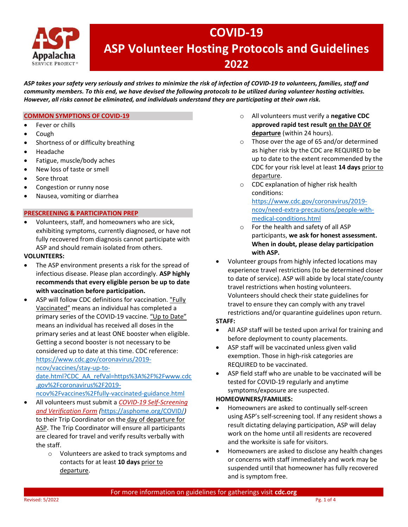

## COVID-19 ASP Volunteer Hosting Protocols and Guidelines 2022

ASP takes your safety very seriously and strives to minimize the risk of infection of COVID-19 to volunteers, families, staff and community members. To this end, we have devised the following protocols to be utilized during volunteer hosting activities. However, all risks cannot be eliminated, and individuals understand they are participating at their own risk.

## COMMON SYMPTIONS OF COVID-19

- Fever or chills
- Cough
- Shortness of or difficulty breathing
- Headache
- Fatigue, muscle/body aches
- New loss of taste or smell
- Sore throat
- Congestion or runny nose
- Nausea, vomiting or diarrhea

## PRESCREENING & PARTICIPATION PREP

 Volunteers, staff, and homeowners who are sick, exhibiting symptoms, currently diagnosed, or have not fully recovered from diagnosis cannot participate with ASP and should remain isolated from others.

## VOLUNTEERS:

- The ASP environment presents a risk for the spread of infectious disease. Please plan accordingly. ASP highly recommends that every eligible person be up to date with vaccination before participation.
- ASP will follow CDC definitions for vaccination. "Fully Vaccinated" means an individual has completed a primary series of the COVID-19 vaccine. "Up to Date" means an individual has received all doses in the primary series and at least ONE booster when eligible. Getting a second booster is not necessary to be considered up to date at this time. CDC reference: https://www.cdc.gov/coronavirus/2019 ncov/vaccines/stay-up-to-

date.html?CDC\_AA\_refVal=https%3A%2F%2Fwww.cdc .gov%2Fcoronavirus%2F2019-

ncov%2Fvaccines%2Ffully-vaccinated-guidance.html

- All volunteers must submit a COVID-19 Self-Screening and Verification Form (https://asphome.org/COVID/) to their Trip Coordinator on the day of departure for ASP. The Trip Coordinator will ensure all participants are cleared for travel and verify results verbally with the staff.
	- o Volunteers are asked to track symptoms and contacts for at least 10 days prior to departure.
- o All volunteers must verify a negative CDC approved rapid test result on the DAY OF departure (within 24 hours).
- o Those over the age of 65 and/or determined as higher risk by the CDC are REQUIRED to be up to date to the extent recommended by the CDC for your risk level at least 14 days prior to departure.
- o CDC explanation of higher risk health conditions: https://www.cdc.gov/coronavirus/2019 ncov/need-extra-precautions/people-withmedical-conditions.html
- o For the health and safety of all ASP participants, we ask for honest assessment. When in doubt, please delay participation with ASP.
- Volunteer groups from highly infected locations may experience travel restrictions (to be determined closer to date of service). ASP will abide by local state/county travel restrictions when hosting volunteers. Volunteers should check their state guidelines for travel to ensure they can comply with any travel restrictions and/or quarantine guidelines upon return.

## STAFF:

- All ASP staff will be tested upon arrival for training and before deployment to county placements.
- ASP staff will be vaccinated unless given valid exemption. Those in high-risk categories are REQUIRED to be vaccinated.
- ASP field staff who are unable to be vaccinated will be tested for COVID-19 regularly and anytime symptoms/exposure are suspected.

## HOMEOWNERS/FAMILIES:

- Homeowners are asked to continually self-screen using ASP's self-screening tool. If any resident shows a result dictating delaying participation, ASP will delay work on the home until all residents are recovered and the worksite is safe for visitors.
- Homeowners are asked to disclose any health changes or concerns with staff immediately and work may be suspended until that homeowner has fully recovered and is symptom free.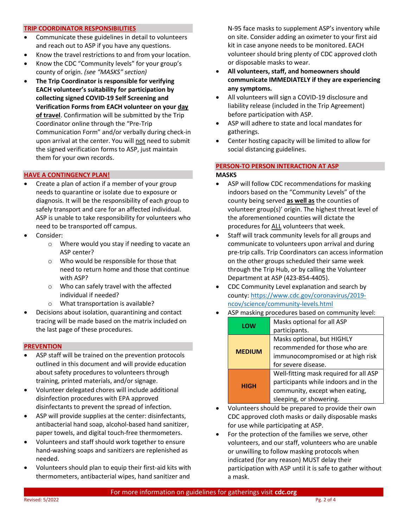#### TRIP COORDINATOR RESPONSIBILITIES

- Communicate these guidelines in detail to volunteers and reach out to ASP if you have any questions.
- Know the travel restrictions to and from your location.
- Know the CDC "Community levels" for your group's county of origin. (see "MASKS" section)
- The Trip Coordinator is responsible for verifying EACH volunteer's suitability for participation by collecting signed COVID-19 Self Screening and Verification Forms from EACH volunteer on your day of travel. Confirmation will be submitted by the Trip Coordinator online through the "Pre-Trip Communication Form" and/or verbally during check-in upon arrival at the center. You will not need to submit the signed verification forms to ASP, just maintain them for your own records.

## HAVE A CONTINGENCY PLAN!

- Create a plan of action if a member of your group needs to quarantine or isolate due to exposure or diagnosis. It will be the responsibility of each group to safely transport and care for an affected individual. ASP is unable to take responsibility for volunteers who need to be transported off campus.
- Consider:
	- o Where would you stay if needing to vacate an ASP center?
	- o Who would be responsible for those that need to return home and those that continue with ASP?
	- o Who can safely travel with the affected individual if needed?
	- o What transportation is available?
- Decisions about isolation, quarantining and contact tracing will be made based on the matrix included on the last page of these procedures.

#### **PREVENTION**

- ASP staff will be trained on the prevention protocols outlined in this document and will provide education about safety procedures to volunteers through training, printed materials, and/or signage.
- Volunteer delegated chores will include additional disinfection procedures with EPA approved disinfectants to prevent the spread of infection.
- ASP will provide supplies at the center: disinfectants, antibacterial hand soap, alcohol-based hand sanitizer, paper towels, and digital touch-free thermometers.
- Volunteers and staff should work together to ensure hand-washing soaps and sanitizers are replenished as needed.
- Volunteers should plan to equip their first-aid kits with thermometers, antibacterial wipes, hand sanitizer and

N-95 face masks to supplement ASP's inventory while on site. Consider adding an oximeter to your first aid kit in case anyone needs to be monitored. EACH volunteer should bring plenty of CDC approved cloth or disposable masks to wear.

- All volunteers, staff, and homeowners should communicate IMMEDIATELY if they are experiencing any symptoms.
- All volunteers will sign a COVID-19 disclosure and liability release (included in the Trip Agreement) before participation with ASP.
- ASP will adhere to state and local mandates for gatherings.
- Center hosting capacity will be limited to allow for social distancing guidelines.

## PERSON-TO PERSON INTERACTION AT ASP MASKS

- ASP will follow CDC recommendations for masking indoors based on the "Community Levels" of the county being served as well as the counties of volunteer group(s)' origin. The highest threat level of the aforementioned counties will dictate the procedures for ALL volunteers that week.
- Staff will track community levels for all groups and communicate to volunteers upon arrival and during pre-trip calls. Trip Coordinators can access information on the other groups scheduled their same week through the Trip Hub, or by calling the Volunteer Department at ASP (423-854-4405).
- CDC Community Level explanation and search by county: https://www.cdc.gov/coronavirus/2019 ncov/science/community-levels.html
- ASP masking procedures based on community level:

| LOW           | Masks optional for all ASP             |
|---------------|----------------------------------------|
|               | participants.                          |
| <b>MEDIUM</b> | Masks optional, but HIGHLY             |
|               | recommended for those who are          |
|               | immunocompromised or at high risk      |
|               | for severe disease.                    |
| <b>HIGH</b>   | Well-fitting mask required for all ASP |
|               | participants while indoors and in the  |
|               | community, except when eating,         |
|               | sleeping, or showering.                |

- Volunteers should be prepared to provide their own CDC approved cloth masks or daily disposable masks for use while participating at ASP.
- For the protection of the families we serve, other volunteers, and our staff, volunteers who are unable or unwilling to follow masking protocols when indicated (for any reason) MUST delay their participation with ASP until it is safe to gather without a mask.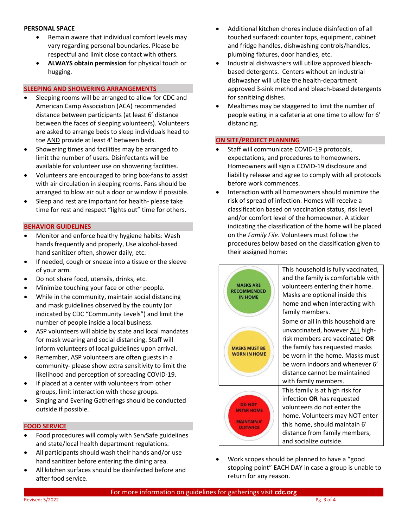## PERSONAL SPACE

- Remain aware that individual comfort levels may vary regarding personal boundaries. Please be respectful and limit close contact with others.
- ALWAYS obtain permission for physical touch or hugging.

## SLEEPING AND SHOWERING ARRANGEMENTS

- Sleeping rooms will be arranged to allow for CDC and American Camp Association (ACA) recommended distance between participants (at least 6' distance between the faces of sleeping volunteers). Volunteers are asked to arrange beds to sleep individuals head to toe AND provide at least 4' between beds.
- Showering times and facilities may be arranged to limit the number of users. Disinfectants will be available for volunteer use on showering facilities.
- Volunteers are encouraged to bring box-fans to assist with air circulation in sleeping rooms. Fans should be arranged to blow air out a door or window if possible.
- Sleep and rest are important for health- please take time for rest and respect "lights out" time for others.

## BEHAVIOR GUIDELINES

- Monitor and enforce healthy hygiene habits: Wash hands frequently and properly, Use alcohol-based hand sanitizer often, shower daily, etc.
- If needed, cough or sneeze into a tissue or the sleeve of your arm.
- Do not share food, utensils, drinks, etc.
- Minimize touching your face or other people.
- While in the community, maintain social distancing and mask guidelines observed by the county (or indicated by CDC "Community Levels") and limit the number of people inside a local business.
- ASP volunteers will abide by state and local mandates for mask wearing and social distancing. Staff will inform volunteers of local guidelines upon arrival.
- Remember, ASP volunteers are often guests in a community- please show extra sensitivity to limit the likelihood and perception of spreading COVID-19.
- If placed at a center with volunteers from other groups, limit interaction with those groups.
- Singing and Evening Gatherings should be conducted outside if possible.

## FOOD SERVICE

- Food procedures will comply with ServSafe guidelines and state/local health department regulations.
- All participants should wash their hands and/or use hand sanitizer before entering the dining area.
- All kitchen surfaces should be disinfected before and after food service.
- Additional kitchen chores include disinfection of all touched surfaced: counter tops, equipment, cabinet and fridge handles, dishwashing controls/handles, plumbing fixtures, door handles, etc.
- Industrial dishwashers will utilize approved bleachbased detergents. Centers without an industrial dishwasher will utilize the health-department approved 3-sink method and bleach-based detergents for sanitizing dishes.
- Mealtimes may be staggered to limit the number of people eating in a cafeteria at one time to allow for 6' distancing.

## ON SITE/PROJECT PLANNING

- Staff will communicate COVID-19 protocols, expectations, and procedures to homeowners. Homeowners will sign a COVID-19 disclosure and liability release and agree to comply with all protocols before work commences.
- Interaction with all homeowners should minimize the risk of spread of infection. Homes will receive a classification based on vaccination status, risk level and/or comfort level of the homeowner. A sticker indicating the classification of the home will be placed on the Family File. Volunteers must follow the procedures below based on the classification given to their assigned home:

| <b>MASKS ARE</b><br><b>RECOMMENDED</b><br><b>IN HOME</b>                  | This household is fully vaccinated,<br>and the family is comfortable with<br>volunteers entering their home.<br>Masks are optional inside this<br>home and when interacting with<br>family members.                                                                            |
|---------------------------------------------------------------------------|--------------------------------------------------------------------------------------------------------------------------------------------------------------------------------------------------------------------------------------------------------------------------------|
| <b>MASKS MUST BE</b><br><b>WORN IN HOME</b>                               | Some or all in this household are<br>unvaccinated, however ALL high-<br>risk members are vaccinated <b>OR</b><br>the family has requested masks<br>be worn in the home. Masks must<br>be worn indoors and whenever 6'<br>distance cannot be maintained<br>with family members. |
| <b>DO NOT</b><br><b>TER HOME</b><br><b>MAINTAIN 6'</b><br><b>DISTANCE</b> | This family is at high risk for<br>infection OR has requested<br>volunteers do not enter the<br>home. Volunteers may NOT enter<br>this home, should maintain 6'<br>distance from family members,<br>and socialize outside.                                                     |

 Work scopes should be planned to have a "good stopping point" EACH DAY in case a group is unable to return for any reason.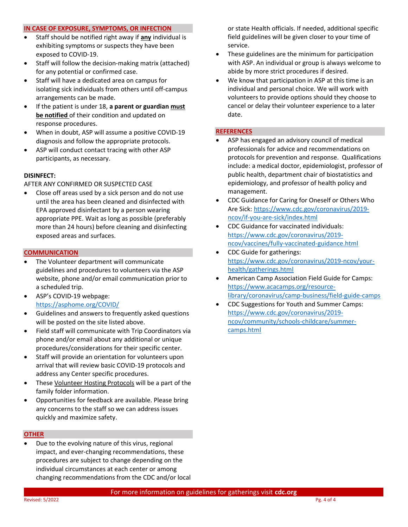#### IN CASE OF EXPOSURE, SYMPTOMS, OR INFECTION

- Staff should be notified right away if any individual is exhibiting symptoms or suspects they have been exposed to COVID-19.
- Staff will follow the decision-making matrix (attached) for any potential or confirmed case.
- Staff will have a dedicated area on campus for isolating sick individuals from others until off-campus arrangements can be made.
- If the patient is under 18, a parent or guardian must be notified of their condition and updated on response procedures.
- When in doubt, ASP will assume a positive COVID-19 diagnosis and follow the appropriate protocols.
- ASP will conduct contact tracing with other ASP participants, as necessary.

## DISINFECT:

AFTER ANY CONFIRMED OR SUSPECTED CASE

 Close off areas used by a sick person and do not use until the area has been cleaned and disinfected with EPA approved disinfectant by a person wearing appropriate PPE. Wait as long as possible (preferably more than 24 hours) before cleaning and disinfecting exposed areas and surfaces.

## **COMMUNICATION**

- The Volunteer department will communicate guidelines and procedures to volunteers via the ASP website, phone and/or email communication prior to a scheduled trip.
- ASP's COVID-19 webpage: https://asphome.org/COVID/
- Guidelines and answers to frequently asked questions will be posted on the site listed above.
- Field staff will communicate with Trip Coordinators via phone and/or email about any additional or unique procedures/considerations for their specific center.
- Staff will provide an orientation for volunteers upon arrival that will review basic COVID-19 protocols and address any Center specific procedures.
- These Volunteer Hosting Protocols will be a part of the family folder information.
- Opportunities for feedback are available. Please bring any concerns to the staff so we can address issues quickly and maximize safety.

#### **OTHER**

 Due to the evolving nature of this virus, regional impact, and ever-changing recommendations, these procedures are subject to change depending on the individual circumstances at each center or among changing recommendations from the CDC and/or local

or state Health officials. If needed, additional specific field guidelines will be given closer to your time of service.

- These guidelines are the minimum for participation with ASP. An individual or group is always welcome to abide by more strict procedures if desired.
- We know that participation in ASP at this time is an individual and personal choice. We will work with volunteers to provide options should they choose to cancel or delay their volunteer experience to a later date.

## **REFERENCES**

- ASP has engaged an advisory council of medical professionals for advice and recommendations on protocols for prevention and response. Qualifications include: a medical doctor, epidemiologist, professor of public health, department chair of biostatistics and epidemiology, and professor of health policy and management.
- CDC Guidance for Caring for Oneself or Others Who Are Sick: https://www.cdc.gov/coronavirus/2019 ncov/if-you-are-sick/index.html
- CDC Guidance for vaccinated individuals: https://www.cdc.gov/coronavirus/2019 ncov/vaccines/fully-vaccinated-guidance.html
- CDC Guide for gatherings: https://www.cdc.gov/coronavirus/2019-ncov/yourhealth/gatherings.html
- American Camp Association Field Guide for Camps: https://www.acacamps.org/resourcelibrary/coronavirus/camp-business/field-guide-camps
- CDC Suggestions for Youth and Summer Camps: https://www.cdc.gov/coronavirus/2019 ncov/community/schools-childcare/summercamps.html